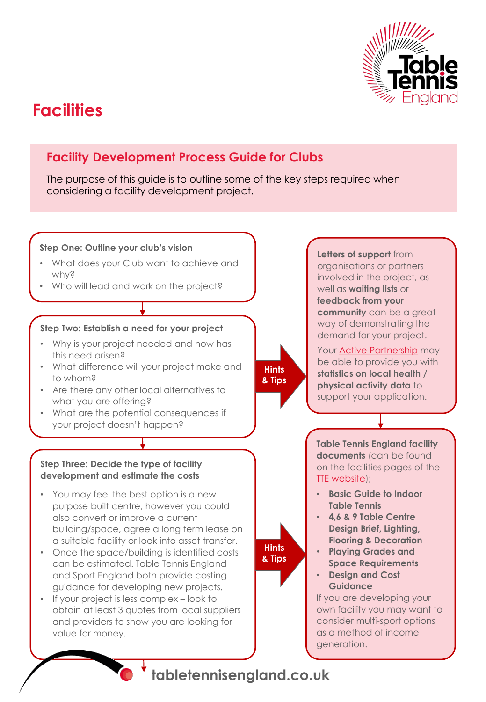

# **Facilities**

## **Facility Development Process Guide for Clubs**

The purpose of this guide is to outline some of the key steps required when considering a facility development project.



**tabletennisengland.co.uk**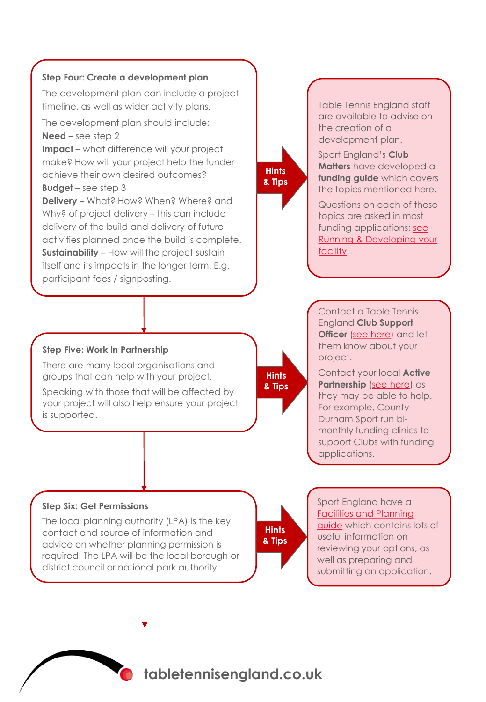

The development plan can include a project timeline, as well as wider activity plans.

The development plan should include; **Need** – see step 2

**Impact** – what difference will your project make? How will your project help the funder achieve their own desired outcomes?

**Budget** – see step 3

**Delivery** – What? How? When? Where? and Why? of project delivery – this can include delivery of the build and delivery of future activities planned once the build is complete. **Sustainability** – How will the project sustain itself and its impacts in the longer term. E.g. participant fees / signposting.

# **Hints & Tips**

Table Tennis England staff are available to advise on the creation of a development plan.

Sport England's **Club Matters** have developed a **funding guide** which covers the topics mentioned here.

Questions on each of these topics are asked in most funding applications; see [Running & Developing your](https://www.sportenglandclubmatters.com/facility-development/) facility

#### Contact a Table Tennis England **Club Support Officer** [\(see here](https://www.tabletennisengland.co.uk/about-us/our-team/)) and let them know about your project.

Contact your local **Active Partnership** ([see here\)](https://www.activepartnerships.org/active-partnerships) as they may be able to help. For example, County Durham Sport run bimonthly funding clinics to support Clubs with funding applications.

#### **Step Five: Work in Partnership**

There are many local organisations and groups that can help with your project.

Speaking with those that will be affected by your project will also help ensure your project is supported.

#### **Step Six: Get Permissions**

The local planning authority (LPA) is the key contact and source of information and advice on whether planning permission is required. The LPA will be the local borough or district council or national park authority.

**Hints & Tips**

**Hints & Tips**

> Sport England have a [Facilities and Planning](https://www.sportengland.org/how-we-can-help/facilities-and-planning)  guide which contains lots of useful information on reviewing your options, as well as preparing and submitting an application.

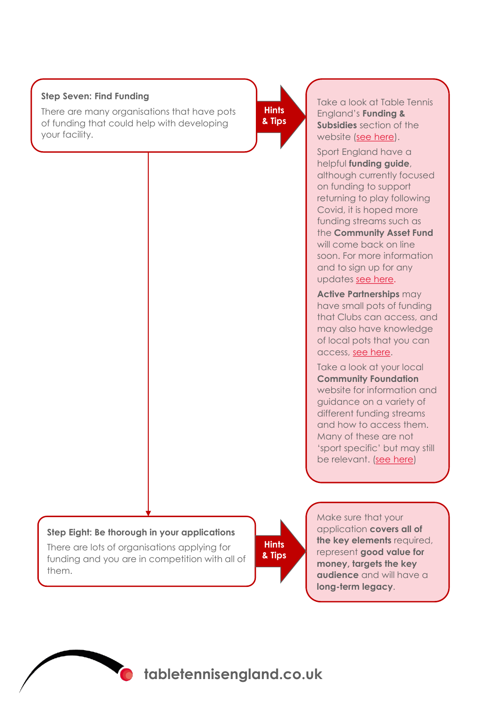#### **Step Seven: Find Funding**

There are many organisations that have pots of funding that could help with developing your facility.

**Hints & Tips**

Take a look at Table Tennis England's **Funding & Subsidies** section of the website [\(see here](https://www.tabletennisengland.co.uk/play/funding/)).

Sport England have a helpful **funding guide**, although currently focused on funding to support returning to play following Covid, it is hoped more funding streams such as the **Community Asset Fund**  will come back on line soon. For more information and to sign up for any updates [see here.](https://www.sportengland.org/how-we-can-help/our-funds)

**Active Partnerships** may have small pots of funding that Clubs can access, and may also have knowledge of local pots that you can access, [see here.](https://www.activepartnerships.org/active-partnerships)

Take a look at your local **Community Foundation**  website for information and guidance on a variety of different funding streams and how to access them. Many of these are not 'sport specific' but may still be relevant. [\(see here\)](https://www.ukcommunityfoundations.org/our-network)

#### **Step Eight: Be thorough in your applications**

There are lots of organisations applying for funding and you are in competition with all of them.

**Hints & Tips**

Make sure that your application **covers all of the key elements** required, represent **good value for money, targets the key audience** and will have a **long-term legacy**.



Creating a lifelong **tabletennisengland.co.uk**